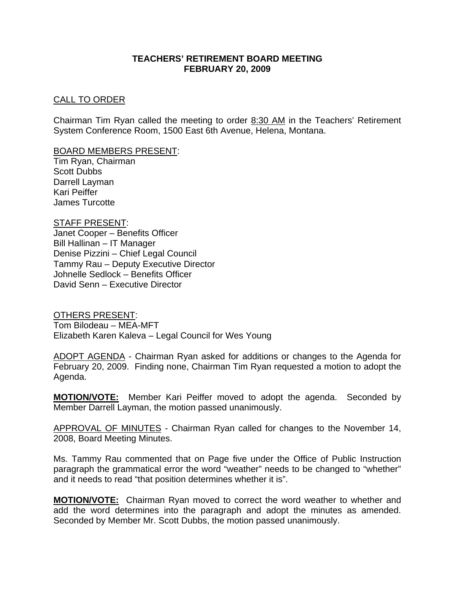### **TEACHERS' RETIREMENT BOARD MEETING FEBRUARY 20, 2009**

### CALL TO ORDER

Chairman Tim Ryan called the meeting to order 8:30 AM in the Teachers' Retirement System Conference Room, 1500 East 6th Avenue, Helena, Montana.

#### BOARD MEMBERS PRESENT:

Tim Ryan, Chairman Scott Dubbs Darrell Layman Kari Peiffer James Turcotte

#### STAFF PRESENT:

Janet Cooper – Benefits Officer Bill Hallinan – IT Manager Denise Pizzini – Chief Legal Council Tammy Rau – Deputy Executive Director Johnelle Sedlock – Benefits Officer David Senn – Executive Director

OTHERS PRESENT: Tom Bilodeau – MEA-MFT Elizabeth Karen Kaleva – Legal Council for Wes Young

ADOPT AGENDA - Chairman Ryan asked for additions or changes to the Agenda for February 20, 2009. Finding none, Chairman Tim Ryan requested a motion to adopt the Agenda.

**MOTION/VOTE:** Member Kari Peiffer moved to adopt the agenda. Seconded by Member Darrell Layman, the motion passed unanimously.

APPROVAL OF MINUTES - Chairman Ryan called for changes to the November 14, 2008, Board Meeting Minutes.

Ms. Tammy Rau commented that on Page five under the Office of Public Instruction paragraph the grammatical error the word "weather" needs to be changed to "whether" and it needs to read "that position determines whether it is".

**MOTION/VOTE:** Chairman Ryan moved to correct the word weather to whether and add the word determines into the paragraph and adopt the minutes as amended. Seconded by Member Mr. Scott Dubbs, the motion passed unanimously.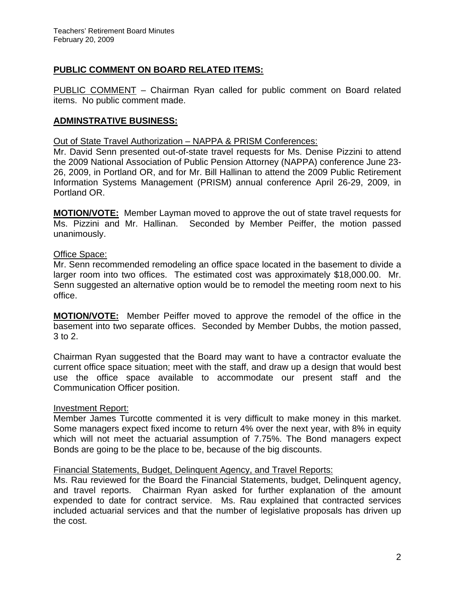# **PUBLIC COMMENT ON BOARD RELATED ITEMS:**

PUBLIC COMMENT – Chairman Ryan called for public comment on Board related items. No public comment made.

# **ADMINSTRATIVE BUSINESS:**

Out of State Travel Authorization – NAPPA & PRISM Conferences:

Mr. David Senn presented out-of-state travel requests for Ms. Denise Pizzini to attend the 2009 National Association of Public Pension Attorney (NAPPA) conference June 23- 26, 2009, in Portland OR, and for Mr. Bill Hallinan to attend the 2009 Public Retirement Information Systems Management (PRISM) annual conference April 26-29, 2009, in Portland OR.

**MOTION/VOTE:** Member Layman moved to approve the out of state travel requests for Ms. Pizzini and Mr. Hallinan. Seconded by Member Peiffer, the motion passed unanimously.

## Office Space:

Mr. Senn recommended remodeling an office space located in the basement to divide a larger room into two offices. The estimated cost was approximately \$18,000.00. Mr. Senn suggested an alternative option would be to remodel the meeting room next to his office.

**MOTION/VOTE:** Member Peiffer moved to approve the remodel of the office in the basement into two separate offices. Seconded by Member Dubbs, the motion passed, 3 to 2.

Chairman Ryan suggested that the Board may want to have a contractor evaluate the current office space situation; meet with the staff, and draw up a design that would best use the office space available to accommodate our present staff and the Communication Officer position.

## Investment Report:

Member James Turcotte commented it is very difficult to make money in this market. Some managers expect fixed income to return 4% over the next year, with 8% in equity which will not meet the actuarial assumption of 7.75%. The Bond managers expect Bonds are going to be the place to be, because of the big discounts.

## Financial Statements, Budget, Delinquent Agency, and Travel Reports:

Ms. Rau reviewed for the Board the Financial Statements, budget, Delinquent agency, and travel reports. Chairman Ryan asked for further explanation of the amount expended to date for contract service. Ms. Rau explained that contracted services included actuarial services and that the number of legislative proposals has driven up the cost.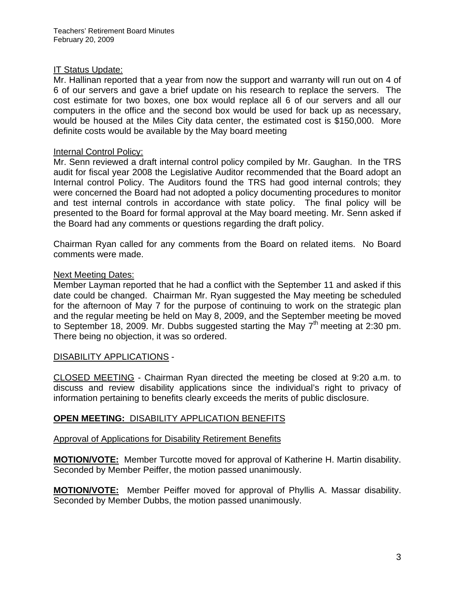# IT Status Update:

Mr. Hallinan reported that a year from now the support and warranty will run out on 4 of 6 of our servers and gave a brief update on his research to replace the servers. The cost estimate for two boxes, one box would replace all 6 of our servers and all our computers in the office and the second box would be used for back up as necessary, would be housed at the Miles City data center, the estimated cost is \$150,000. More definite costs would be available by the May board meeting

# Internal Control Policy:

Mr. Senn reviewed a draft internal control policy compiled by Mr. Gaughan. In the TRS audit for fiscal year 2008 the Legislative Auditor recommended that the Board adopt an Internal control Policy. The Auditors found the TRS had good internal controls; they were concerned the Board had not adopted a policy documenting procedures to monitor and test internal controls in accordance with state policy. The final policy will be presented to the Board for formal approval at the May board meeting. Mr. Senn asked if the Board had any comments or questions regarding the draft policy.

Chairman Ryan called for any comments from the Board on related items. No Board comments were made.

# Next Meeting Dates:

Member Layman reported that he had a conflict with the September 11 and asked if this date could be changed. Chairman Mr. Ryan suggested the May meeting be scheduled for the afternoon of May 7 for the purpose of continuing to work on the strategic plan and the regular meeting be held on May 8, 2009, and the September meeting be moved to September 18, 2009. Mr. Dubbs suggested starting the May  $7<sup>th</sup>$  meeting at 2:30 pm. There being no objection, it was so ordered.

## DISABILITY APPLICATIONS -

CLOSED MEETING - Chairman Ryan directed the meeting be closed at 9:20 a.m. to discuss and review disability applications since the individual's right to privacy of information pertaining to benefits clearly exceeds the merits of public disclosure.

# **OPEN MEETING:** DISABILITY APPLICATION BENEFITS

## Approval of Applications for Disability Retirement Benefits

**MOTION/VOTE:** Member Turcotte moved for approval of Katherine H. Martin disability. Seconded by Member Peiffer, the motion passed unanimously.

**MOTION/VOTE:** Member Peiffer moved for approval of Phyllis A. Massar disability. Seconded by Member Dubbs, the motion passed unanimously.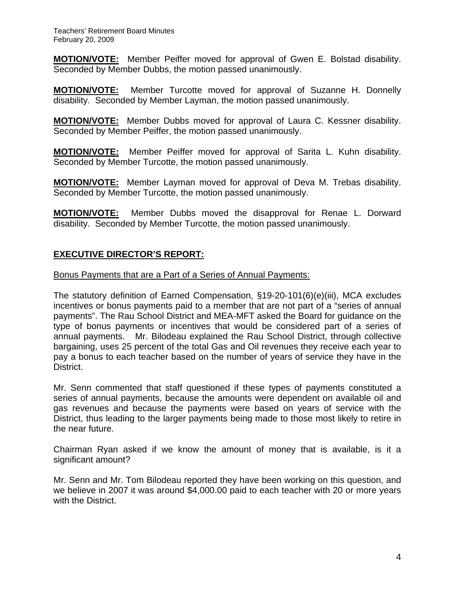**MOTION/VOTE:** Member Peiffer moved for approval of Gwen E. Bolstad disability. Seconded by Member Dubbs, the motion passed unanimously.

**MOTION/VOTE:** Member Turcotte moved for approval of Suzanne H. Donnelly disability. Seconded by Member Layman, the motion passed unanimously.

**MOTION/VOTE:** Member Dubbs moved for approval of Laura C. Kessner disability. Seconded by Member Peiffer, the motion passed unanimously.

**MOTION/VOTE:** Member Peiffer moved for approval of Sarita L. Kuhn disability. Seconded by Member Turcotte, the motion passed unanimously.

**MOTION/VOTE:** Member Layman moved for approval of Deva M. Trebas disability. Seconded by Member Turcotte, the motion passed unanimously.

**MOTION/VOTE:** Member Dubbs moved the disapproval for Renae L. Dorward disability. Seconded by Member Turcotte, the motion passed unanimously.

## **EXECUTIVE DIRECTOR'S REPORT:**

#### Bonus Payments that are a Part of a Series of Annual Payments:

The statutory definition of Earned Compensation, §19-20-101(6)(e)(iii), MCA excludes incentives or bonus payments paid to a member that are not part of a "series of annual payments". The Rau School District and MEA-MFT asked the Board for guidance on the type of bonus payments or incentives that would be considered part of a series of annual payments. Mr. Bilodeau explained the Rau School District, through collective bargaining, uses 25 percent of the total Gas and Oil revenues they receive each year to pay a bonus to each teacher based on the number of years of service they have in the District.

Mr. Senn commented that staff questioned if these types of payments constituted a series of annual payments, because the amounts were dependent on available oil and gas revenues and because the payments were based on years of service with the District, thus leading to the larger payments being made to those most likely to retire in the near future.

Chairman Ryan asked if we know the amount of money that is available, is it a significant amount?

Mr. Senn and Mr. Tom Bilodeau reported they have been working on this question, and we believe in 2007 it was around \$4,000.00 paid to each teacher with 20 or more years with the District.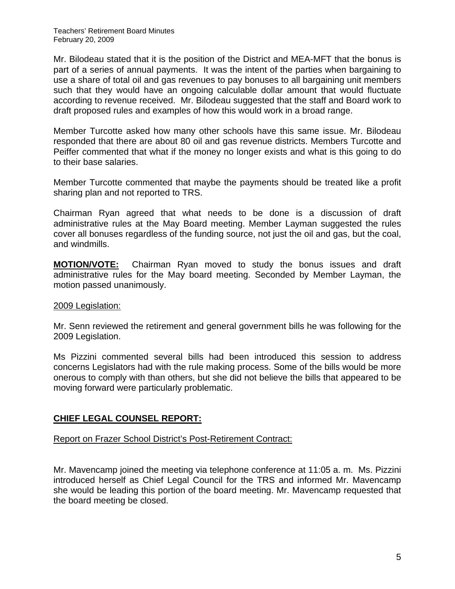Mr. Bilodeau stated that it is the position of the District and MEA-MFT that the bonus is part of a series of annual payments. It was the intent of the parties when bargaining to use a share of total oil and gas revenues to pay bonuses to all bargaining unit members such that they would have an ongoing calculable dollar amount that would fluctuate according to revenue received. Mr. Bilodeau suggested that the staff and Board work to draft proposed rules and examples of how this would work in a broad range.

Member Turcotte asked how many other schools have this same issue. Mr. Bilodeau responded that there are about 80 oil and gas revenue districts. Members Turcotte and Peiffer commented that what if the money no longer exists and what is this going to do to their base salaries.

Member Turcotte commented that maybe the payments should be treated like a profit sharing plan and not reported to TRS.

Chairman Ryan agreed that what needs to be done is a discussion of draft administrative rules at the May Board meeting. Member Layman suggested the rules cover all bonuses regardless of the funding source, not just the oil and gas, but the coal, and windmills.

**MOTION/VOTE:** Chairman Ryan moved to study the bonus issues and draft administrative rules for the May board meeting. Seconded by Member Layman, the motion passed unanimously.

# 2009 Legislation:

Mr. Senn reviewed the retirement and general government bills he was following for the 2009 Legislation.

Ms Pizzini commented several bills had been introduced this session to address concerns Legislators had with the rule making process. Some of the bills would be more onerous to comply with than others, but she did not believe the bills that appeared to be moving forward were particularly problematic.

# **CHIEF LEGAL COUNSEL REPORT:**

## Report on Frazer School District's Post-Retirement Contract:

Mr. Mavencamp joined the meeting via telephone conference at 11:05 a. m. Ms. Pizzini introduced herself as Chief Legal Council for the TRS and informed Mr. Mavencamp she would be leading this portion of the board meeting. Mr. Mavencamp requested that the board meeting be closed.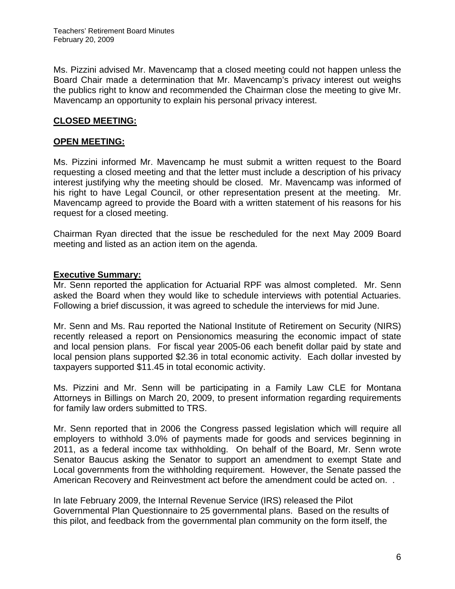Ms. Pizzini advised Mr. Mavencamp that a closed meeting could not happen unless the Board Chair made a determination that Mr. Mavencamp's privacy interest out weighs the publics right to know and recommended the Chairman close the meeting to give Mr. Mavencamp an opportunity to explain his personal privacy interest.

# **CLOSED MEETING:**

# **OPEN MEETING:**

Ms. Pizzini informed Mr. Mavencamp he must submit a written request to the Board requesting a closed meeting and that the letter must include a description of his privacy interest justifying why the meeting should be closed. Mr. Mavencamp was informed of his right to have Legal Council, or other representation present at the meeting. Mr. Mavencamp agreed to provide the Board with a written statement of his reasons for his request for a closed meeting.

Chairman Ryan directed that the issue be rescheduled for the next May 2009 Board meeting and listed as an action item on the agenda.

## **Executive Summary:**

Mr. Senn reported the application for Actuarial RPF was almost completed. Mr. Senn asked the Board when they would like to schedule interviews with potential Actuaries. Following a brief discussion, it was agreed to schedule the interviews for mid June.

Mr. Senn and Ms. Rau reported the National Institute of Retirement on Security (NIRS) recently released a report on Pensionomics measuring the economic impact of state and local pension plans. For fiscal year 2005-06 each benefit dollar paid by state and local pension plans supported \$2.36 in total economic activity. Each dollar invested by taxpayers supported \$11.45 in total economic activity.

Ms. Pizzini and Mr. Senn will be participating in a Family Law CLE for Montana Attorneys in Billings on March 20, 2009, to present information regarding requirements for family law orders submitted to TRS.

Mr. Senn reported that in 2006 the Congress passed legislation which will require all employers to withhold 3.0% of payments made for goods and services beginning in 2011, as a federal income tax withholding. On behalf of the Board, Mr. Senn wrote Senator Baucus asking the Senator to support an amendment to exempt State and Local governments from the withholding requirement. However, the Senate passed the American Recovery and Reinvestment act before the amendment could be acted on. .

In late February 2009, the Internal Revenue Service (IRS) released the Pilot Governmental Plan Questionnaire to 25 governmental plans. Based on the results of this pilot, and feedback from the governmental plan community on the form itself, the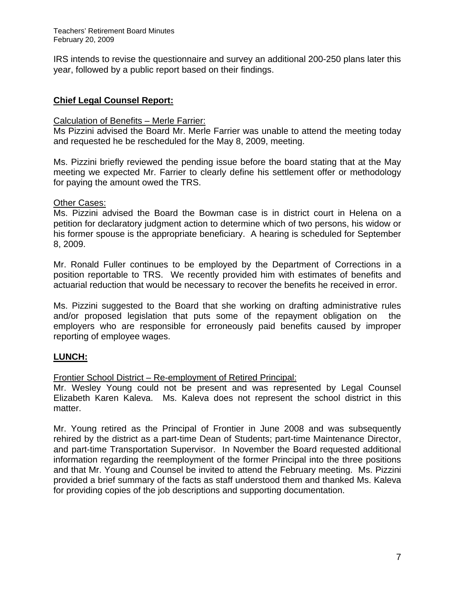IRS intends to revise the questionnaire and survey an additional 200-250 plans later this year, followed by a public report based on their findings.

# **Chief Legal Counsel Report:**

#### Calculation of Benefits – Merle Farrier:

Ms Pizzini advised the Board Mr. Merle Farrier was unable to attend the meeting today and requested he be rescheduled for the May 8, 2009, meeting.

Ms. Pizzini briefly reviewed the pending issue before the board stating that at the May meeting we expected Mr. Farrier to clearly define his settlement offer or methodology for paying the amount owed the TRS.

#### Other Cases:

Ms. Pizzini advised the Board the Bowman case is in district court in Helena on a petition for declaratory judgment action to determine which of two persons, his widow or his former spouse is the appropriate beneficiary. A hearing is scheduled for September 8, 2009.

Mr. Ronald Fuller continues to be employed by the Department of Corrections in a position reportable to TRS. We recently provided him with estimates of benefits and actuarial reduction that would be necessary to recover the benefits he received in error.

Ms. Pizzini suggested to the Board that she working on drafting administrative rules and/or proposed legislation that puts some of the repayment obligation on the employers who are responsible for erroneously paid benefits caused by improper reporting of employee wages.

## **LUNCH:**

## Frontier School District – Re-employment of Retired Principal:

Mr. Wesley Young could not be present and was represented by Legal Counsel Elizabeth Karen Kaleva. Ms. Kaleva does not represent the school district in this matter.

Mr. Young retired as the Principal of Frontier in June 2008 and was subsequently rehired by the district as a part-time Dean of Students; part-time Maintenance Director, and part-time Transportation Supervisor. In November the Board requested additional information regarding the reemployment of the former Principal into the three positions and that Mr. Young and Counsel be invited to attend the February meeting. Ms. Pizzini provided a brief summary of the facts as staff understood them and thanked Ms. Kaleva for providing copies of the job descriptions and supporting documentation.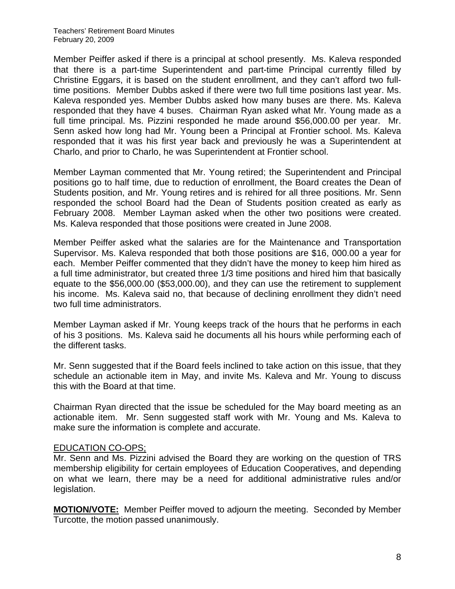Member Peiffer asked if there is a principal at school presently. Ms. Kaleva responded that there is a part-time Superintendent and part-time Principal currently filled by Christine Eggars, it is based on the student enrollment, and they can't afford two fulltime positions. Member Dubbs asked if there were two full time positions last year. Ms. Kaleva responded yes. Member Dubbs asked how many buses are there. Ms. Kaleva responded that they have 4 buses. Chairman Ryan asked what Mr. Young made as a full time principal. Ms. Pizzini responded he made around \$56,000.00 per year. Mr. Senn asked how long had Mr. Young been a Principal at Frontier school. Ms. Kaleva responded that it was his first year back and previously he was a Superintendent at Charlo, and prior to Charlo, he was Superintendent at Frontier school.

Member Layman commented that Mr. Young retired; the Superintendent and Principal positions go to half time, due to reduction of enrollment, the Board creates the Dean of Students position, and Mr. Young retires and is rehired for all three positions. Mr. Senn responded the school Board had the Dean of Students position created as early as February 2008. Member Layman asked when the other two positions were created. Ms. Kaleva responded that those positions were created in June 2008.

Member Peiffer asked what the salaries are for the Maintenance and Transportation Supervisor. Ms. Kaleva responded that both those positions are \$16, 000.00 a year for each. Member Peiffer commented that they didn't have the money to keep him hired as a full time administrator, but created three 1/3 time positions and hired him that basically equate to the \$56,000.00 (\$53,000.00), and they can use the retirement to supplement his income. Ms. Kaleva said no, that because of declining enrollment they didn't need two full time administrators.

Member Layman asked if Mr. Young keeps track of the hours that he performs in each of his 3 positions. Ms. Kaleva said he documents all his hours while performing each of the different tasks.

Mr. Senn suggested that if the Board feels inclined to take action on this issue, that they schedule an actionable item in May, and invite Ms. Kaleva and Mr. Young to discuss this with the Board at that time.

Chairman Ryan directed that the issue be scheduled for the May board meeting as an actionable item. Mr. Senn suggested staff work with Mr. Young and Ms. Kaleva to make sure the information is complete and accurate.

## EDUCATION CO-OPS;

Mr. Senn and Ms. Pizzini advised the Board they are working on the question of TRS membership eligibility for certain employees of Education Cooperatives, and depending on what we learn, there may be a need for additional administrative rules and/or legislation.

**MOTION/VOTE:** Member Peiffer moved to adjourn the meeting. Seconded by Member Turcotte, the motion passed unanimously.